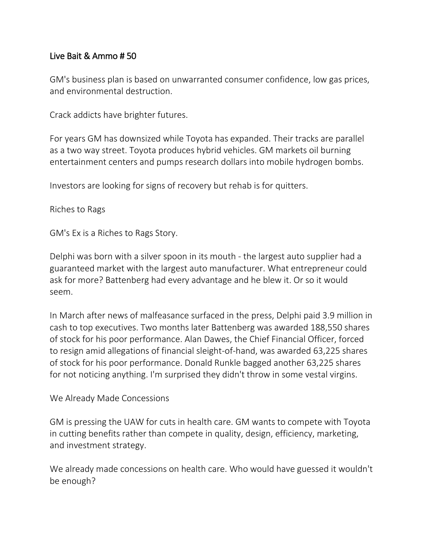## Live Bait & Ammo # 50

GM's business plan is based on unwarranted consumer confidence, low gas prices, and environmental destruction.

Crack addicts have brighter futures.

For years GM has downsized while Toyota has expanded. Their tracks are parallel as a two way street. Toyota produces hybrid vehicles. GM markets oil burning entertainment centers and pumps research dollars into mobile hydrogen bombs.

Investors are looking for signs of recovery but rehab is for quitters.

Riches to Rags

GM's Ex is a Riches to Rags Story.

Delphi was born with a silver spoon in its mouth - the largest auto supplier had a guaranteed market with the largest auto manufacturer. What entrepreneur could ask for more? Battenberg had every advantage and he blew it. Or so it would seem.

In March after news of malfeasance surfaced in the press, Delphi paid 3.9 million in cash to top executives. Two months later Battenberg was awarded 188,550 shares of stock for his poor performance. Alan Dawes, the Chief Financial Officer, forced to resign amid allegations of financial sleight-of-hand, was awarded 63,225 shares of stock for his poor performance. Donald Runkle bagged another 63,225 shares for not noticing anything. I'm surprised they didn't throw in some vestal virgins.

## We Already Made Concessions

GM is pressing the UAW for cuts in health care. GM wants to compete with Toyota in cutting benefits rather than compete in quality, design, efficiency, marketing, and investment strategy.

We already made concessions on health care. Who would have guessed it wouldn't be enough?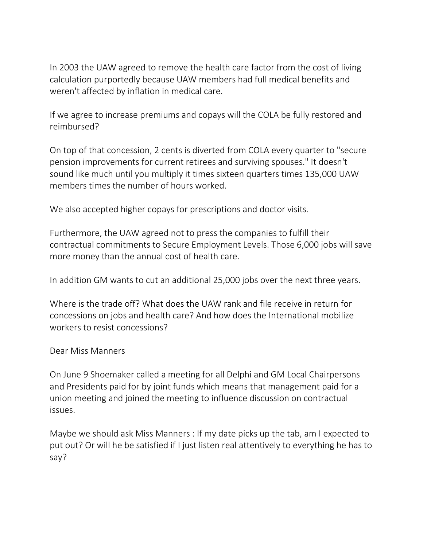In 2003 the UAW agreed to remove the health care factor from the cost of living calculation purportedly because UAW members had full medical benefits and weren't affected by inflation in medical care.

If we agree to increase premiums and copays will the COLA be fully restored and reimbursed?

On top of that concession, 2 cents is diverted from COLA every quarter to "secure pension improvements for current retirees and surviving spouses." It doesn't sound like much until you multiply it times sixteen quarters times 135,000 UAW members times the number of hours worked.

We also accepted higher copays for prescriptions and doctor visits.

Furthermore, the UAW agreed not to press the companies to fulfill their contractual commitments to Secure Employment Levels. Those 6,000 jobs will save more money than the annual cost of health care.

In addition GM wants to cut an additional 25,000 jobs over the next three years.

Where is the trade off? What does the UAW rank and file receive in return for concessions on jobs and health care? And how does the International mobilize workers to resist concessions?

## Dear Miss Manners

On June 9 Shoemaker called a meeting for all Delphi and GM Local Chairpersons and Presidents paid for by joint funds which means that management paid for a union meeting and joined the meeting to influence discussion on contractual issues.

Maybe we should ask Miss Manners : If my date picks up the tab, am I expected to put out? Or will he be satisfied if I just listen real attentively to everything he has to say?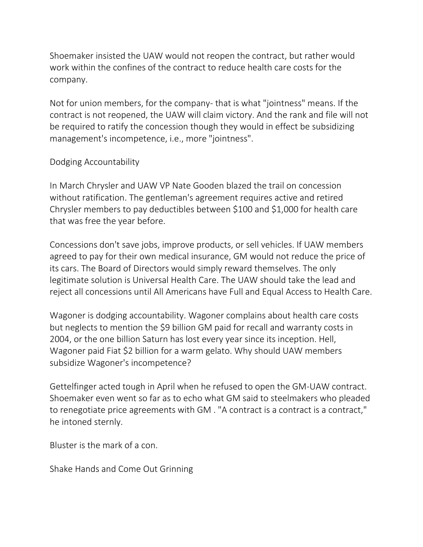Shoemaker insisted the UAW would not reopen the contract, but rather would work within the confines of the contract to reduce health care costs for the company.

Not for union members, for the company- that is what "jointness" means. If the contract is not reopened, the UAW will claim victory. And the rank and file will not be required to ratify the concession though they would in effect be subsidizing management's incompetence, i.e., more "jointness".

## Dodging Accountability

In March Chrysler and UAW VP Nate Gooden blazed the trail on concession without ratification. The gentleman's agreement requires active and retired Chrysler members to pay deductibles between \$100 and \$1,000 for health care that was free the year before.

Concessions don't save jobs, improve products, or sell vehicles. If UAW members agreed to pay for their own medical insurance, GM would not reduce the price of its cars. The Board of Directors would simply reward themselves. The only legitimate solution is Universal Health Care. The UAW should take the lead and reject all concessions until All Americans have Full and Equal Access to Health Care.

Wagoner is dodging accountability. Wagoner complains about health care costs but neglects to mention the \$9 billion GM paid for recall and warranty costs in 2004, or the one billion Saturn has lost every year since its inception. Hell, Wagoner paid Fiat \$2 billion for a warm gelato. Why should UAW members subsidize Wagoner's incompetence?

Gettelfinger acted tough in April when he refused to open the GM-UAW contract. Shoemaker even went so far as to echo what GM said to steelmakers who pleaded to renegotiate price agreements with GM . "A contract is a contract is a contract," he intoned sternly.

Bluster is the mark of a con.

Shake Hands and Come Out Grinning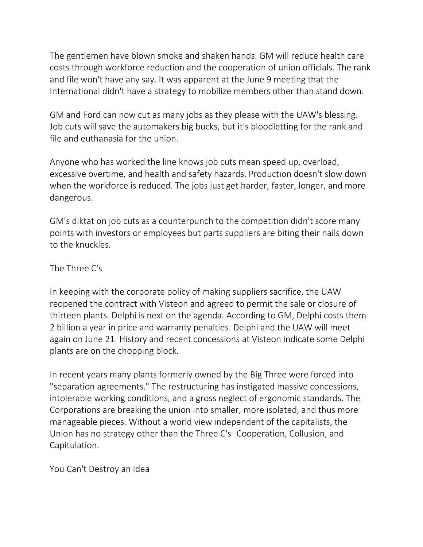The gentlemen have blown smoke and shaken hands. GM will reduce health care costs through workforce reduction and the cooperation of union officials. The rank and file won't have any say. It was apparent at the June 9 meeting that the International didn't have a strategy to mobilize members other than stand down.

GM and Ford can now cut as many jobs as they please with the UAW's blessing. Job cuts will save the automakers big bucks, but it's bloodletting for the rank and file and euthanasia for the union.

Anyone who has worked the line knows job cuts mean speed up, overload, excessive overtime, and health and safety hazards. Production doesn't slow down when the workforce is reduced. The jobs just get harder, faster, longer, and more dangerous.

GM's diktat on job cuts as a counterpunch to the competition didn't score many points with investors or employees but parts suppliers are biting their nails down to the knuckles.

The Three C's

In keeping with the corporate policy of making suppliers sacrifice, the UAW reopened the contract with Visteon and agreed to permit the sale or closure of thirteen plants. Delphi is next on the agenda. According to GM, Delphi costs them 2 billion a year in price and warranty penalties. Delphi and the UAW will meet again on June 21. History and recent concessions at Visteon indicate some Delphi plants are on the chopping block.

In recent years many plants formerly owned by the Big Three were forced into "separation agreements." The restructuring has instigated massive concessions, intolerable working conditions, and a gross neglect of ergonomic standards. The Corporations are breaking the union into smaller, more isolated, and thus more manageable pieces. Without a world view independent of the capitalists, the Union has no strategy other than the Three C's- Cooperation, Collusion, and Capitulation.

You Can't Destroy an Idea